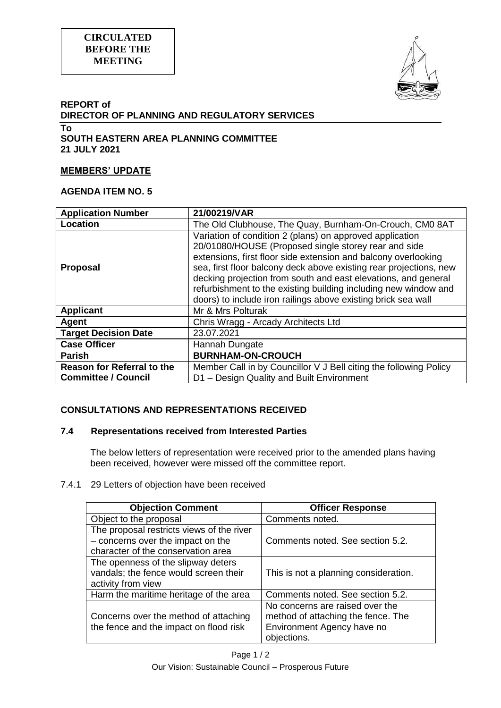



### **REPORT of DIRECTOR OF PLANNING AND REGULATORY SERVICES To SOUTH EASTERN AREA PLANNING COMMITTEE**

**21 JULY 2021**

### **MEMBERS' UPDATE**

### **AGENDA ITEM NO. 5**

| <b>Application Number</b>                                       | 21/00219/VAR                                                                                                                                                                                                                                                                                                                                                                                                                                                   |
|-----------------------------------------------------------------|----------------------------------------------------------------------------------------------------------------------------------------------------------------------------------------------------------------------------------------------------------------------------------------------------------------------------------------------------------------------------------------------------------------------------------------------------------------|
| Location                                                        | The Old Clubhouse, The Quay, Burnham-On-Crouch, CM0 8AT                                                                                                                                                                                                                                                                                                                                                                                                        |
| <b>Proposal</b>                                                 | Variation of condition 2 (plans) on approved application<br>20/01080/HOUSE (Proposed single storey rear and side<br>extensions, first floor side extension and balcony overlooking<br>sea, first floor balcony deck above existing rear projections, new<br>decking projection from south and east elevations, and general<br>refurbishment to the existing building including new window and<br>doors) to include iron railings above existing brick sea wall |
| <b>Applicant</b>                                                | Mr & Mrs Polturak                                                                                                                                                                                                                                                                                                                                                                                                                                              |
| Agent                                                           | Chris Wragg - Arcady Architects Ltd                                                                                                                                                                                                                                                                                                                                                                                                                            |
| <b>Target Decision Date</b>                                     | 23.07.2021                                                                                                                                                                                                                                                                                                                                                                                                                                                     |
| <b>Case Officer</b>                                             | Hannah Dungate                                                                                                                                                                                                                                                                                                                                                                                                                                                 |
| <b>Parish</b>                                                   | <b>BURNHAM-ON-CROUCH</b>                                                                                                                                                                                                                                                                                                                                                                                                                                       |
| <b>Reason for Referral to the</b><br><b>Committee / Council</b> | Member Call in by Councillor V J Bell citing the following Policy<br>D1 - Design Quality and Built Environment                                                                                                                                                                                                                                                                                                                                                 |

# **CONSULTATIONS AND REPRESENTATIONS RECEIVED**

## **7.4 Representations received from Interested Parties**

The below letters of representation were received prior to the amended plans having been received, however were missed off the committee report.

#### 7.4.1 29 Letters of objection have been received

| <b>Objection Comment</b>                  | <b>Officer Response</b>               |
|-------------------------------------------|---------------------------------------|
| Object to the proposal                    | Comments noted.                       |
| The proposal restricts views of the river |                                       |
| - concerns over the impact on the         | Comments noted. See section 5.2.      |
| character of the conservation area        |                                       |
| The openness of the slipway deters        |                                       |
| vandals; the fence would screen their     | This is not a planning consideration. |
| activity from view                        |                                       |
| Harm the maritime heritage of the area    | Comments noted. See section 5.2.      |
|                                           | No concerns are raised over the       |
| Concerns over the method of attaching     | method of attaching the fence. The    |
| the fence and the impact on flood risk    | Environment Agency have no            |
|                                           | objections.                           |